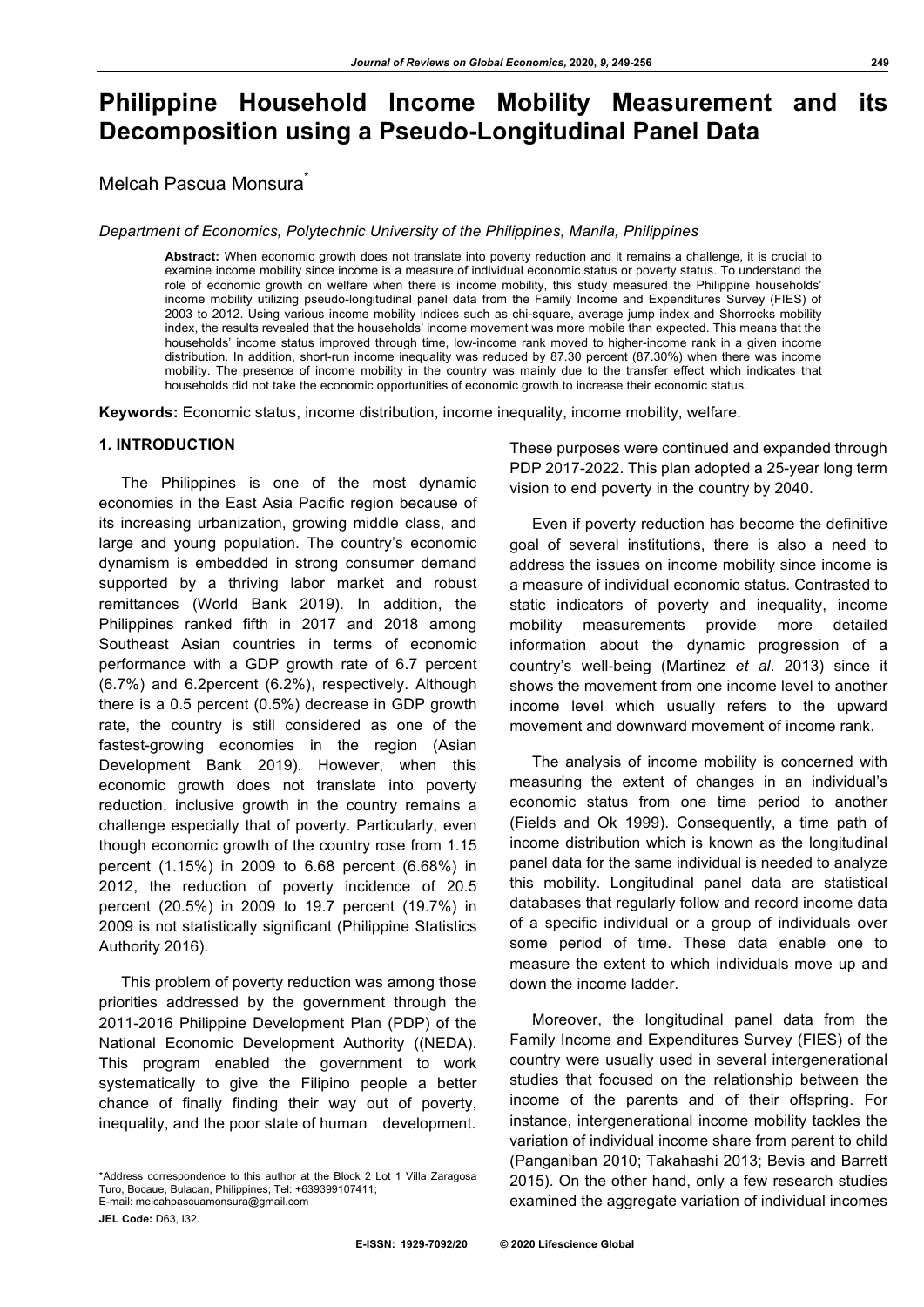# **Philippine Household Income Mobility Measurement and its Decomposition using a Pseudo-Longitudinal Panel Data**

Melcah Pascua Monsura<sup>\*</sup>

*Department of Economics, Polytechnic University of the Philippines, Manila, Philippines*

**Abstract:** When economic growth does not translate into poverty reduction and it remains a challenge, it is crucial to examine income mobility since income is a measure of individual economic status or poverty status. To understand the role of economic growth on welfare when there is income mobility, this study measured the Philippine households' income mobility utilizing pseudo-longitudinal panel data from the Family Income and Expenditures Survey (FIES) of 2003 to 2012. Using various income mobility indices such as chi-square, average jump index and Shorrocks mobility index, the results revealed that the households' income movement was more mobile than expected. This means that the households' income status improved through time, low-income rank moved to higher-income rank in a given income distribution. In addition, short-run income inequality was reduced by 87.30 percent (87.30%) when there was income mobility. The presence of income mobility in the country was mainly due to the transfer effect which indicates that households did not take the economic opportunities of economic growth to increase their economic status.

**Keywords:** Economic status, income distribution, income inequality, income mobility, welfare.

#### **1. INTRODUCTION**

The Philippines is one of the most dynamic economies in the East Asia Pacific region because of its increasing urbanization, growing middle class, and large and young population. The country's economic dynamism is embedded in strong consumer demand supported by a thriving labor market and robust remittances (World Bank 2019). In addition, the Philippines ranked fifth in 2017 and 2018 among Southeast Asian countries in terms of economic performance with a GDP growth rate of 6.7 percent (6.7%) and 6.2percent (6.2%), respectively. Although there is a 0.5 percent (0.5%) decrease in GDP growth rate, the country is still considered as one of the fastest-growing economies in the region (Asian Development Bank 2019). However, when this economic growth does not translate into poverty reduction, inclusive growth in the country remains a challenge especially that of poverty. Particularly, even though economic growth of the country rose from 1.15 percent (1.15%) in 2009 to 6.68 percent (6.68%) in 2012, the reduction of poverty incidence of 20.5 percent (20.5%) in 2009 to 19.7 percent (19.7%) in 2009 is not statistically significant (Philippine Statistics Authority 2016).

This problem of poverty reduction was among those priorities addressed by the government through the 2011-2016 Philippine Development Plan (PDP) of the National Economic Development Authority ((NEDA). This program enabled the government to work systematically to give the Filipino people a better chance of finally finding their way out of poverty, inequality, and the poor state of human development.

These purposes were continued and expanded through PDP 2017-2022. This plan adopted a 25-year long term vision to end poverty in the country by 2040.

Even if poverty reduction has become the definitive goal of several institutions, there is also a need to address the issues on income mobility since income is a measure of individual economic status. Contrasted to static indicators of poverty and inequality, income mobility measurements provide more detailed information about the dynamic progression of a country's well-being (Martinez *et al*. 2013) since it shows the movement from one income level to another income level which usually refers to the upward movement and downward movement of income rank.

The analysis of income mobility is concerned with measuring the extent of changes in an individual's economic status from one time period to another (Fields and Ok 1999). Consequently, a time path of income distribution which is known as the longitudinal panel data for the same individual is needed to analyze this mobility. Longitudinal panel data are statistical databases that regularly follow and record income data of a specific individual or a group of individuals over some period of time. These data enable one to measure the extent to which individuals move up and down the income ladder.

Moreover, the longitudinal panel data from the Family Income and Expenditures Survey (FIES) of the country were usually used in several intergenerational studies that focused on the relationship between the income of the parents and of their offspring. For instance, intergenerational income mobility tackles the variation of individual income share from parent to child (Panganiban 2010; Takahashi 2013; Bevis and Barrett 2015). On the other hand, only a few research studies examined the aggregate variation of individual incomes

<sup>\*</sup>Address correspondence to this author at the Block 2 Lot 1 Villa Zaragosa Turo, Bocaue, Bulacan, Philippines; Tel: +639399107411; E-mail: melcahpascuamonsura@gmail.com

**JEL Code:** D63, I32.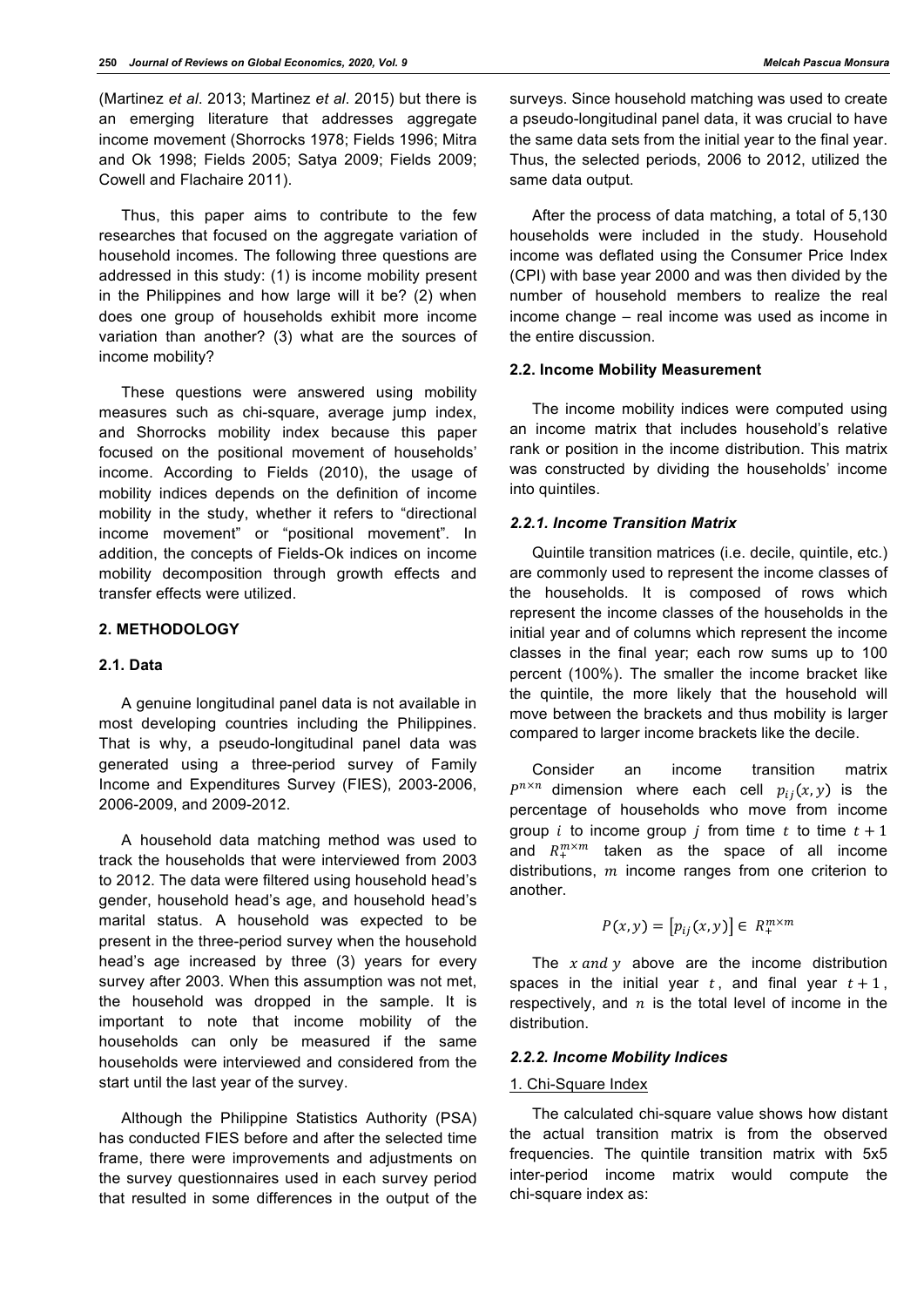(Martinez *et al*. 2013; Martinez *et al*. 2015) but there is an emerging literature that addresses aggregate income movement (Shorrocks 1978; Fields 1996; Mitra and Ok 1998; Fields 2005; Satya 2009; Fields 2009; Cowell and Flachaire 2011).

Thus, this paper aims to contribute to the few researches that focused on the aggregate variation of household incomes. The following three questions are addressed in this study: (1) is income mobility present in the Philippines and how large will it be? (2) when does one group of households exhibit more income variation than another? (3) what are the sources of income mobility?

These questions were answered using mobility measures such as chi-square, average jump index, and Shorrocks mobility index because this paper focused on the positional movement of households' income. According to Fields (2010), the usage of mobility indices depends on the definition of income mobility in the study, whether it refers to "directional income movement" or "positional movement". In addition, the concepts of Fields-Ok indices on income mobility decomposition through growth effects and transfer effects were utilized.

## **2. METHODOLOGY**

## **2.1. Data**

A genuine longitudinal panel data is not available in most developing countries including the Philippines. That is why, a pseudo-longitudinal panel data was generated using a three-period survey of Family Income and Expenditures Survey (FIES), 2003-2006, 2006-2009, and 2009-2012.

A household data matching method was used to track the households that were interviewed from 2003 to 2012. The data were filtered using household head's gender, household head's age, and household head's marital status. A household was expected to be present in the three-period survey when the household head's age increased by three (3) years for every survey after 2003. When this assumption was not met, the household was dropped in the sample. It is important to note that income mobility of the households can only be measured if the same households were interviewed and considered from the start until the last year of the survey.

Although the Philippine Statistics Authority (PSA) has conducted FIES before and after the selected time frame, there were improvements and adjustments on the survey questionnaires used in each survey period that resulted in some differences in the output of the

surveys. Since household matching was used to create a pseudo-longitudinal panel data, it was crucial to have the same data sets from the initial year to the final year. Thus, the selected periods, 2006 to 2012, utilized the same data output.

After the process of data matching, a total of 5,130 households were included in the study. Household income was deflated using the Consumer Price Index (CPI) with base year 2000 and was then divided by the number of household members to realize the real income change – real income was used as income in the entire discussion.

## **2.2. Income Mobility Measurement**

The income mobility indices were computed using an income matrix that includes household's relative rank or position in the income distribution. This matrix was constructed by dividing the households' income into quintiles.

## *2.2.1. Income Transition Matrix*

Quintile transition matrices (i.e. decile, quintile, etc.) are commonly used to represent the income classes of the households. It is composed of rows which represent the income classes of the households in the initial year and of columns which represent the income classes in the final year; each row sums up to 100 percent (100%). The smaller the income bracket like the quintile, the more likely that the household will move between the brackets and thus mobility is larger compared to larger income brackets like the decile.

Consider an income transition matrix  $P^{n \times n}$  dimension where each cell  $p_{ij}(x, y)$  is the percentage of households who move from income group *i* to income group *j* from time *t* to time  $t + 1$ and  $R_+^{m \times m}$  taken as the space of all income distributions,  $m$  income ranges from one criterion to another.

$$
P(x, y) = [p_{ij}(x, y)] \in R_+^{m \times m}
$$

The  $x$  and  $y$  above are the income distribution spaces in the initial year  $t$ , and final year  $t + 1$ , respectively, and  $n$  is the total level of income in the distribution.

#### *2.2.2. Income Mobility Indices*

### 1. Chi-Square Index

The calculated chi-square value shows how distant the actual transition matrix is from the observed frequencies. The quintile transition matrix with 5x5 inter-period income matrix would compute the chi-square index as: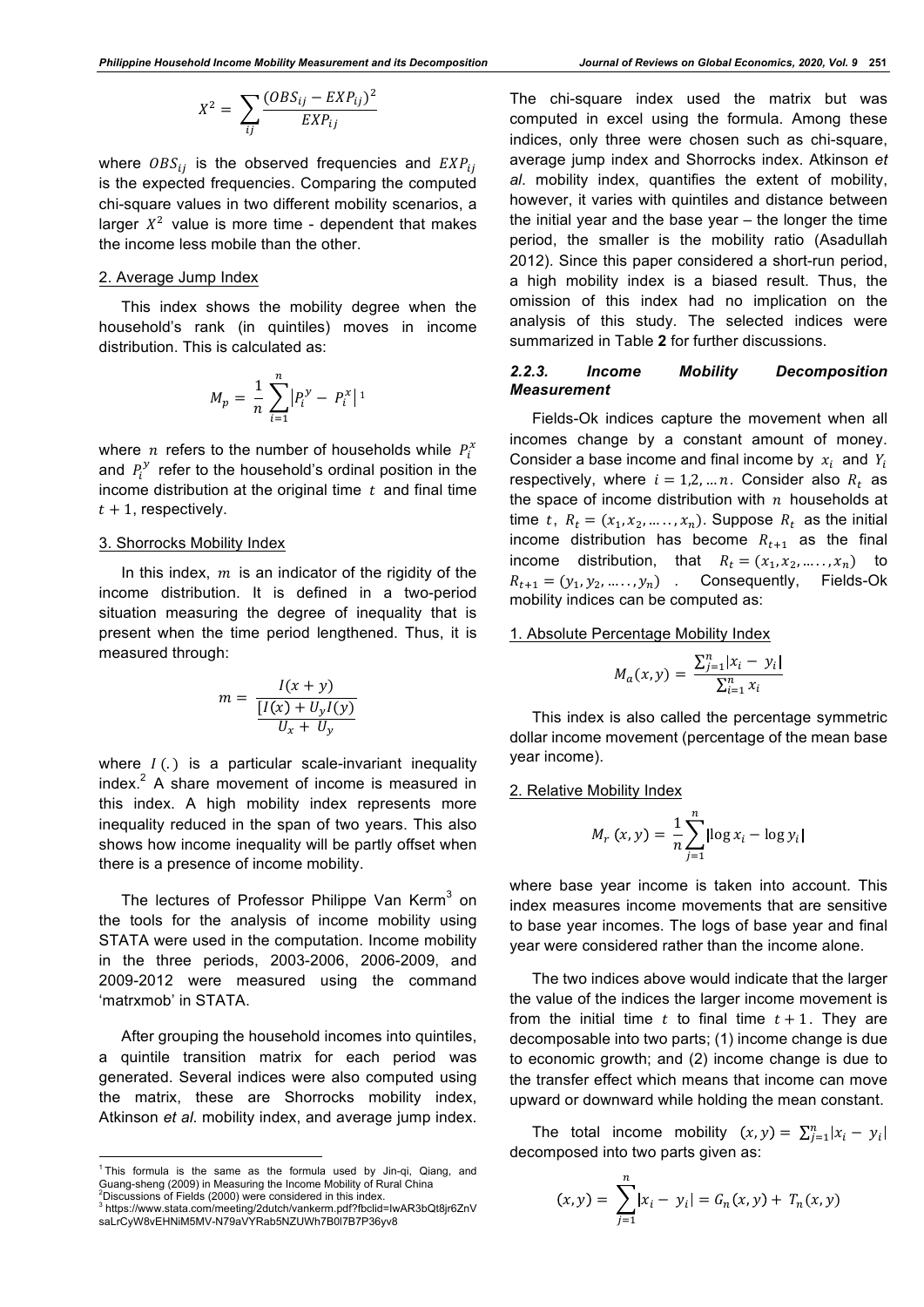$$
X^2 = \sum_{ij} \frac{(OBS_{ij} - EXP_{ij})^2}{EXP_{ij}}
$$

where  $OBS_{ii}$  is the observed frequencies and  $EXP_{ii}$ is the expected frequencies. Comparing the computed chi-square values in two different mobility scenarios, a larger  $X^2$  value is more time - dependent that makes the income less mobile than the other.

## 2. Average Jump Index

This index shows the mobility degree when the household's rank (in quintiles) moves in income distribution. This is calculated as:

$$
M_p = \frac{1}{n} \sum_{i=1}^{n} \left| P_i^{\mathcal{Y}} - P_i^{\mathcal{X}} \right|
$$

where  $n$  refers to the number of households while  $P_i^x$ and  $P_i^y$  refer to the household's ordinal position in the income distribution at the original time  $t$  and final time  $t + 1$ , respectively.

## 3. Shorrocks Mobility Index

In this index,  $m$  is an indicator of the rigidity of the income distribution. It is defined in a two-period situation measuring the degree of inequality that is present when the time period lengthened. Thus, it is measured through:

$$
m = \frac{I(x + y)}{\frac{[I(x) + U_y I(y)]}{U_x + U_y}}
$$

where  $I(.)$  is a particular scale-invariant inequality  $index<sup>2</sup>$  A share movement of income is measured in this index. A high mobility index represents more inequality reduced in the span of two years. This also shows how income inequality will be partly offset when there is a presence of income mobility.

The lectures of Professor Philippe Van Kerm<sup>3</sup> on the tools for the analysis of income mobility using STATA were used in the computation. Income mobility in the three periods, 2003-2006, 2006-2009, and 2009-2012 were measured using the command 'matrxmob' in STATA.

After grouping the household incomes into quintiles. a quintile transition matrix for each period was generated. Several indices were also computed using the matrix, these are Shorrocks mobility index, Atkinson *et al*. mobility index, and average jump index.

The chi-square index used the matrix but was computed in excel using the formula. Among these indices, only three were chosen such as chi-square, average jump index and Shorrocks index. Atkinson *et al*. mobility index, quantifies the extent of mobility, however, it varies with quintiles and distance between the initial year and the base year – the longer the time period, the smaller is the mobility ratio (Asadullah 2012). Since this paper considered a short-run period, a high mobility index is a biased result. Thus, the omission of this index had no implication on the analysis of this study. The selected indices were summarized in Table **2** for further discussions.

## *2.2.3. Income Mobility Decomposition Measurement*

Fields-Ok indices capture the movement when all incomes change by a constant amount of money. Consider a base income and final income by  $x_i$  and  $Y_i$ respectively, where  $i = 1,2,...n$ . Consider also  $R_t$  as the space of income distribution with  $n$  households at time t,  $R_t = (x_1, x_2, \dots, x_n)$ . Suppose  $R_t$  as the initial income distribution has become  $R_{t+1}$  as the final income distribution, that  $R_t = (x_1, x_2, \dots, x_n)$  to  $R_{t+1} = (y_1, y_2, \dots, y_n)$  . Consequently, Fields-Ok mobility indices can be computed as:

1. Absolute Percentage Mobility Index

$$
M_a(x, y) = \frac{\sum_{j=1}^{n} |x_i - y_i|}{\sum_{i=1}^{n} x_i}
$$

This index is also called the percentage symmetric dollar income movement (percentage of the mean base year income).

#### 2. Relative Mobility Index

$$
M_r(x, y) = \frac{1}{n} \sum_{j=1}^{n} \left| \log x_i - \log y_i \right|
$$

where base year income is taken into account. This index measures income movements that are sensitive to base year incomes. The logs of base year and final year were considered rather than the income alone.

The two indices above would indicate that the larger the value of the indices the larger income movement is from the initial time  $t$  to final time  $t + 1$ . They are decomposable into two parts; (1) income change is due to economic growth; and (2) income change is due to the transfer effect which means that income can move upward or downward while holding the mean constant.

The total income mobility  $(x, y) = \sum_{j=1}^{n} |x_i - y_j|$ decomposed into two parts given as:

$$
(x,y) = \sum_{j=1}^{n} |x_i - y_j| = G_n(x,y) + T_n(x,y)
$$

 $\frac{1}{1}$  This formula is the same as the formula used by Jin-qi, Qiang, and Guang-sheng (2009) in Measuring the Income Mobility of Rural China<br><sup>2</sup>Discussions of Fields (2000) ware cancidated in this index  $2$ Discussions of Fields (2000) were considered in this index.

<sup>3</sup> https://www.stata.com/meeting/2dutch/vankerm.pdf?fbclid=IwAR3bQt8jr6ZnV saLrCyW8vEHNiM5MV-N79aVYRab5NZUWh7B0l7B7P36yv8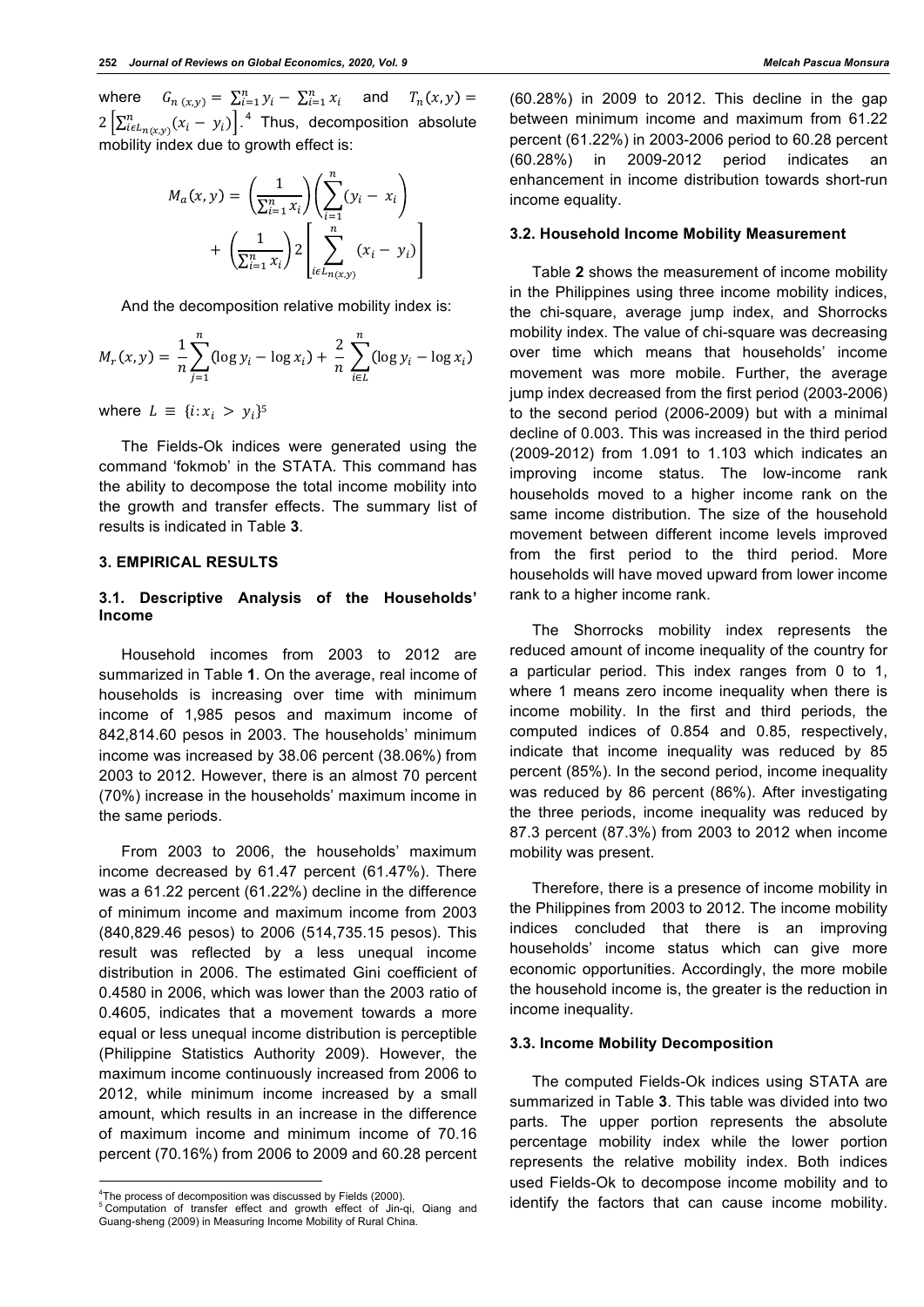where  $G_{n}(x,y) = \sum_{i=1}^{n} y_i - \sum_{i=1}^{n} x_i$ and  $T_n(x, y) =$  $2\left[\sum_{i\in L_{n(x,y)}}^{n}(x_i - y_i)\right]$ .<sup>4</sup> Thus, decomposition absolute mobility index due to growth effect is:

$$
M_a(x,y) = \left(\frac{1}{\sum_{i=1}^n x_i}\right) \left(\sum_{i=1}^n (y_i - x_i)\right) + \left(\frac{1}{\sum_{i=1}^n x_i}\right) 2 \left[\sum_{i \in L_{n(x,y)}}^n (x_i - y_i)\right]
$$

And the decomposition relative mobility index is:

$$
M_r(x, y) = \frac{1}{n} \sum_{j=1}^n (\log y_i - \log x_i) + \frac{2}{n} \sum_{i \in L}^n (\log y_i - \log x_i)
$$

where  $L \equiv \{i: x_i > y_i\}^5$ 

The Fields-Ok indices were generated using the command 'fokmob' in the STATA. This command has the ability to decompose the total income mobility into the growth and transfer effects. The summary list of results is indicated in Table **3**.

## **3. EMPIRICAL RESULTS**

## **3.1. Descriptive Analysis of the Households' Income**

Household incomes from 2003 to 2012 are summarized in Table **1**. On the average, real income of households is increasing over time with minimum income of 1,985 pesos and maximum income of 842,814.60 pesos in 2003. The households' minimum income was increased by 38.06 percent (38.06%) from 2003 to 2012. However, there is an almost 70 percent (70%) increase in the households' maximum income in the same periods.

From 2003 to 2006, the households' maximum income decreased by 61.47 percent (61.47%). There was a 61.22 percent (61.22%) decline in the difference of minimum income and maximum income from 2003 (840,829.46 pesos) to 2006 (514,735.15 pesos). This result was reflected by a less unequal income distribution in 2006. The estimated Gini coefficient of 0.4580 in 2006, which was lower than the 2003 ratio of 0.4605, indicates that a movement towards a more equal or less unequal income distribution is perceptible (Philippine Statistics Authority 2009). However, the maximum income continuously increased from 2006 to 2012, while minimum income increased by a small amount, which results in an increase in the difference of maximum income and minimum income of 70.16 percent (70.16%) from 2006 to 2009 and 60.28 percent

(60.28%) in 2009 to 2012. This decline in the gap between minimum income and maximum from 61.22 percent (61.22%) in 2003-2006 period to 60.28 percent (60.28%) in 2009-2012 period indicates an enhancement in income distribution towards short-run income equality.

## **3.2. Household Income Mobility Measurement**

Table **2** shows the measurement of income mobility in the Philippines using three income mobility indices, the chi-square, average jump index, and Shorrocks mobility index. The value of chi-square was decreasing over time which means that households' income movement was more mobile. Further, the average jump index decreased from the first period (2003-2006) to the second period (2006-2009) but with a minimal decline of 0.003. This was increased in the third period (2009-2012) from 1.091 to 1.103 which indicates an improving income status. The low-income rank households moved to a higher income rank on the same income distribution. The size of the household movement between different income levels improved from the first period to the third period. More households will have moved upward from lower income rank to a higher income rank.

The Shorrocks mobility index represents the reduced amount of income inequality of the country for a particular period. This index ranges from 0 to 1, where 1 means zero income inequality when there is income mobility. In the first and third periods, the computed indices of 0.854 and 0.85, respectively, indicate that income inequality was reduced by 85 percent (85%). In the second period, income inequality was reduced by 86 percent (86%). After investigating the three periods, income inequality was reduced by 87.3 percent (87.3%) from 2003 to 2012 when income mobility was present.

Therefore, there is a presence of income mobility in the Philippines from 2003 to 2012. The income mobility indices concluded that there is an improving households' income status which can give more economic opportunities. Accordingly, the more mobile the household income is, the greater is the reduction in income inequality.

## **3.3. Income Mobility Decomposition**

The computed Fields-Ok indices using STATA are summarized in Table **3**. This table was divided into two parts. The upper portion represents the absolute percentage mobility index while the lower portion represents the relative mobility index. Both indices used Fields-Ok to decompose income mobility and to identify the factors that can cause income mobility.

 $-$ <sup>4</sup>The process of decomposition was discussed by Fields (2000).

<sup>5</sup> Computation of transfer effect and growth effect of Jin-qi, Qiang and Guang-sheng (2009) in Measuring Income Mobility of Rural China.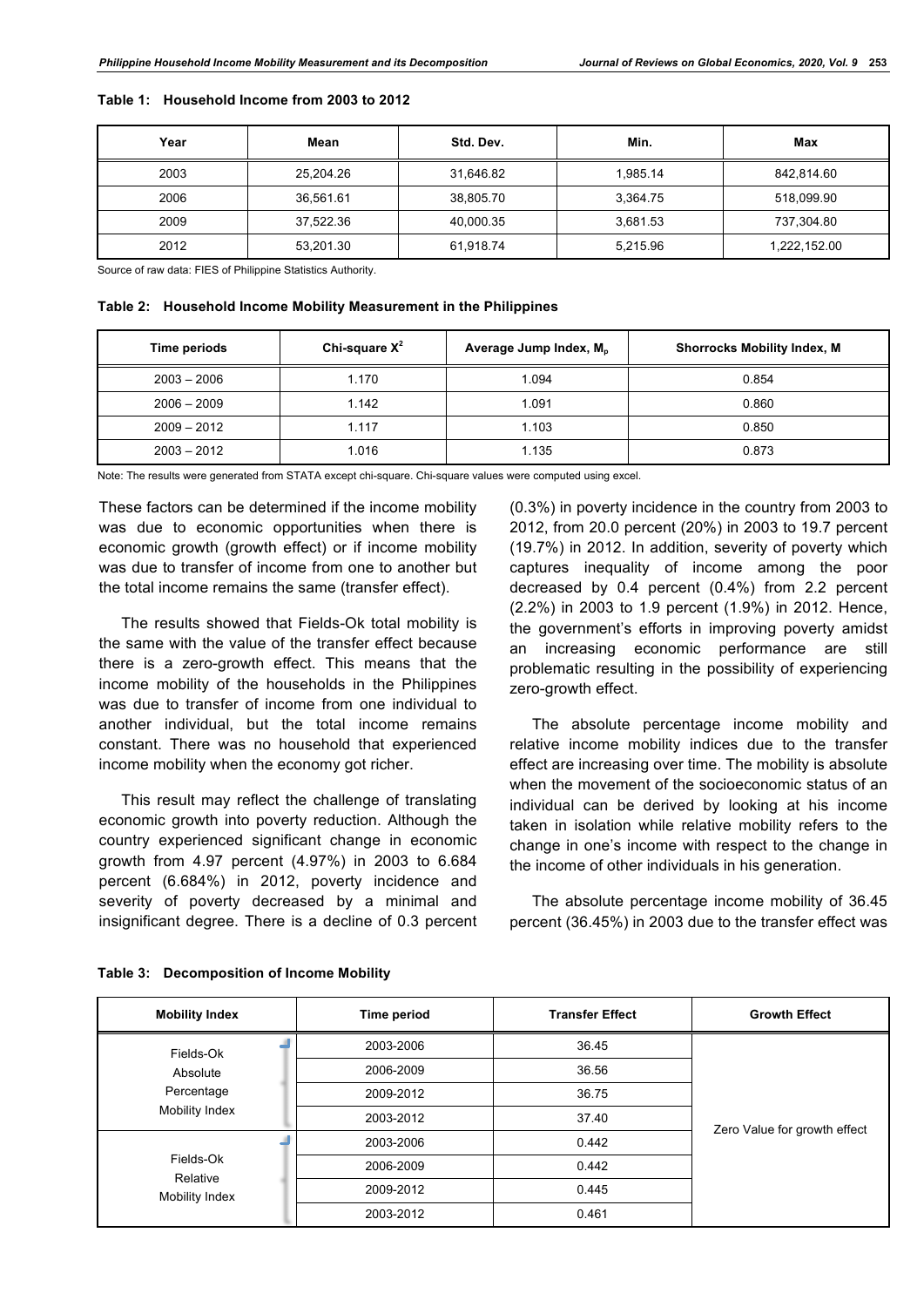| Year | Mean      | Std. Dev. | Min.     | Max          |
|------|-----------|-----------|----------|--------------|
| 2003 | 25.204.26 | 31.646.82 | 1.985.14 | 842.814.60   |
| 2006 | 36.561.61 | 38,805.70 | 3.364.75 | 518.099.90   |
| 2009 | 37.522.36 | 40.000.35 | 3.681.53 | 737.304.80   |
| 2012 | 53.201.30 | 61,918.74 | 5,215.96 | 1,222,152.00 |

**Table 1: Household Income from 2003 to 2012**

Source of raw data: FIES of Philippine Statistics Authority.

#### **Table 2: Household Income Mobility Measurement in the Philippines**

| Time periods  | Chi-square $X^2$ | Average Jump Index, M <sub>p</sub> | <b>Shorrocks Mobility Index, M</b> |
|---------------|------------------|------------------------------------|------------------------------------|
| $2003 - 2006$ | 1.170            | 1.094                              | 0.854                              |
| $2006 - 2009$ | 1.142            | 1.091                              | 0.860                              |
| $2009 - 2012$ | 1.117            | 1.103                              | 0.850                              |
| $2003 - 2012$ | 1.016            | 1.135                              | 0.873                              |

Note: The results were generated from STATA except chi-square. Chi-square values were computed using excel.

These factors can be determined if the income mobility was due to economic opportunities when there is economic growth (growth effect) or if income mobility was due to transfer of income from one to another but the total income remains the same (transfer effect).

The results showed that Fields-Ok total mobility is the same with the value of the transfer effect because there is a zero-growth effect. This means that the income mobility of the households in the Philippines was due to transfer of income from one individual to another individual, but the total income remains constant. There was no household that experienced income mobility when the economy got richer.

This result may reflect the challenge of translating economic growth into poverty reduction. Although the country experienced significant change in economic growth from 4.97 percent (4.97%) in 2003 to 6.684 percent (6.684%) in 2012, poverty incidence and severity of poverty decreased by a minimal and insignificant degree. There is a decline of 0.3 percent (0.3%) in poverty incidence in the country from 2003 to 2012, from 20.0 percent (20%) in 2003 to 19.7 percent (19.7%) in 2012. In addition, severity of poverty which captures inequality of income among the poor decreased by 0.4 percent (0.4%) from 2.2 percent (2.2%) in 2003 to 1.9 percent (1.9%) in 2012. Hence, the government's efforts in improving poverty amidst an increasing economic performance are still problematic resulting in the possibility of experiencing zero-growth effect.

The absolute percentage income mobility and relative income mobility indices due to the transfer effect are increasing over time. The mobility is absolute when the movement of the socioeconomic status of an individual can be derived by looking at his income taken in isolation while relative mobility refers to the change in one's income with respect to the change in the income of other individuals in his generation.

The absolute percentage income mobility of 36.45 percent (36.45%) in 2003 due to the transfer effect was

| <b>Mobility Index</b>             | Time period | <b>Transfer Effect</b> | <b>Growth Effect</b>         |  |
|-----------------------------------|-------------|------------------------|------------------------------|--|
| Fields-Ok                         | 2003-2006   | 36.45                  |                              |  |
| Absolute                          | 2006-2009   | 36.56                  |                              |  |
| Percentage                        | 2009-2012   | 36.75                  |                              |  |
| Mobility Index                    | 2003-2012   | 37.40                  |                              |  |
|                                   | 2003-2006   | 0.442                  | Zero Value for growth effect |  |
| Fields-Ok                         | 2006-2009   | 0.442                  |                              |  |
| Relative<br><b>Mobility Index</b> | 2009-2012   | 0.445                  |                              |  |
|                                   | 2003-2012   | 0.461                  |                              |  |

**Table 3: Decomposition of Income Mobility**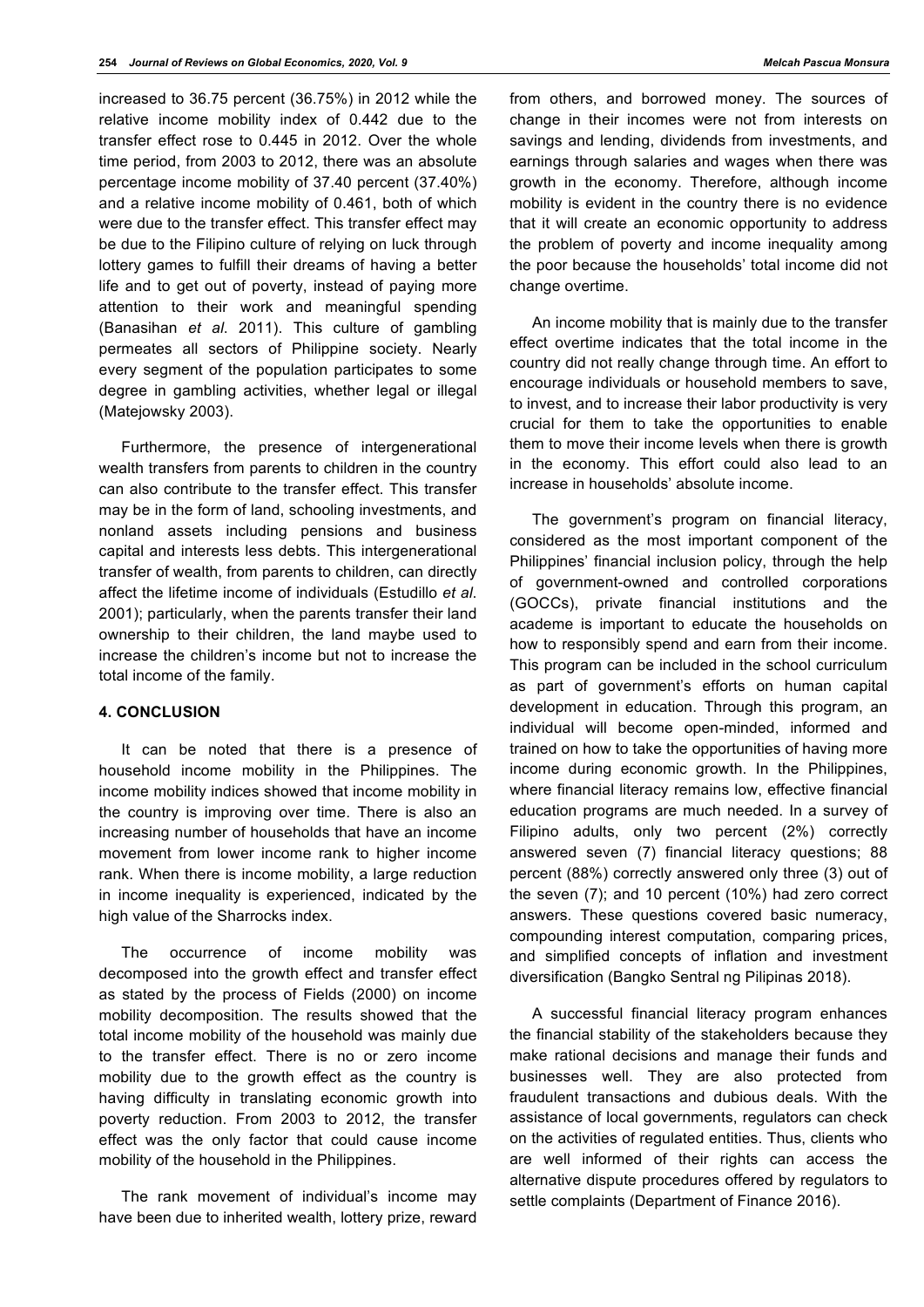increased to 36.75 percent (36.75%) in 2012 while the relative income mobility index of 0.442 due to the transfer effect rose to 0.445 in 2012. Over the whole time period, from 2003 to 2012, there was an absolute percentage income mobility of 37.40 percent (37.40%) and a relative income mobility of 0.461, both of which were due to the transfer effect. This transfer effect may be due to the Filipino culture of relying on luck through lottery games to fulfill their dreams of having a better life and to get out of poverty, instead of paying more attention to their work and meaningful spending (Banasihan *et al*. 2011). This culture of gambling permeates all sectors of Philippine society. Nearly every segment of the population participates to some degree in gambling activities, whether legal or illegal (Matejowsky 2003).

Furthermore, the presence of intergenerational wealth transfers from parents to children in the country can also contribute to the transfer effect. This transfer may be in the form of land, schooling investments, and nonland assets including pensions and business capital and interests less debts. This intergenerational transfer of wealth, from parents to children, can directly affect the lifetime income of individuals (Estudillo *et al*. 2001); particularly, when the parents transfer their land ownership to their children, the land maybe used to increase the children's income but not to increase the total income of the family.

## **4. CONCLUSION**

It can be noted that there is a presence of household income mobility in the Philippines. The income mobility indices showed that income mobility in the country is improving over time. There is also an increasing number of households that have an income movement from lower income rank to higher income rank. When there is income mobility, a large reduction in income inequality is experienced, indicated by the high value of the Sharrocks index.

The occurrence of income mobility was decomposed into the growth effect and transfer effect as stated by the process of Fields (2000) on income mobility decomposition. The results showed that the total income mobility of the household was mainly due to the transfer effect. There is no or zero income mobility due to the growth effect as the country is having difficulty in translating economic growth into poverty reduction. From 2003 to 2012, the transfer effect was the only factor that could cause income mobility of the household in the Philippines.

The rank movement of individual's income may have been due to inherited wealth, lottery prize, reward

from others, and borrowed money. The sources of change in their incomes were not from interests on savings and lending, dividends from investments, and earnings through salaries and wages when there was growth in the economy. Therefore, although income mobility is evident in the country there is no evidence that it will create an economic opportunity to address the problem of poverty and income inequality among the poor because the households' total income did not change overtime.

An income mobility that is mainly due to the transfer effect overtime indicates that the total income in the country did not really change through time. An effort to encourage individuals or household members to save, to invest, and to increase their labor productivity is very crucial for them to take the opportunities to enable them to move their income levels when there is growth in the economy. This effort could also lead to an increase in households' absolute income.

The government's program on financial literacy, considered as the most important component of the Philippines' financial inclusion policy, through the help of government-owned and controlled corporations (GOCCs), private financial institutions and the academe is important to educate the households on how to responsibly spend and earn from their income. This program can be included in the school curriculum as part of government's efforts on human capital development in education. Through this program, an individual will become open-minded, informed and trained on how to take the opportunities of having more income during economic growth. In the Philippines, where financial literacy remains low, effective financial education programs are much needed. In a survey of Filipino adults, only two percent (2%) correctly answered seven (7) financial literacy questions; 88 percent (88%) correctly answered only three (3) out of the seven (7); and 10 percent (10%) had zero correct answers. These questions covered basic numeracy, compounding interest computation, comparing prices, and simplified concepts of inflation and investment diversification (Bangko Sentral ng Pilipinas 2018).

A successful financial literacy program enhances the financial stability of the stakeholders because they make rational decisions and manage their funds and businesses well. They are also protected from fraudulent transactions and dubious deals. With the assistance of local governments, regulators can check on the activities of regulated entities. Thus, clients who are well informed of their rights can access the alternative dispute procedures offered by regulators to settle complaints (Department of Finance 2016).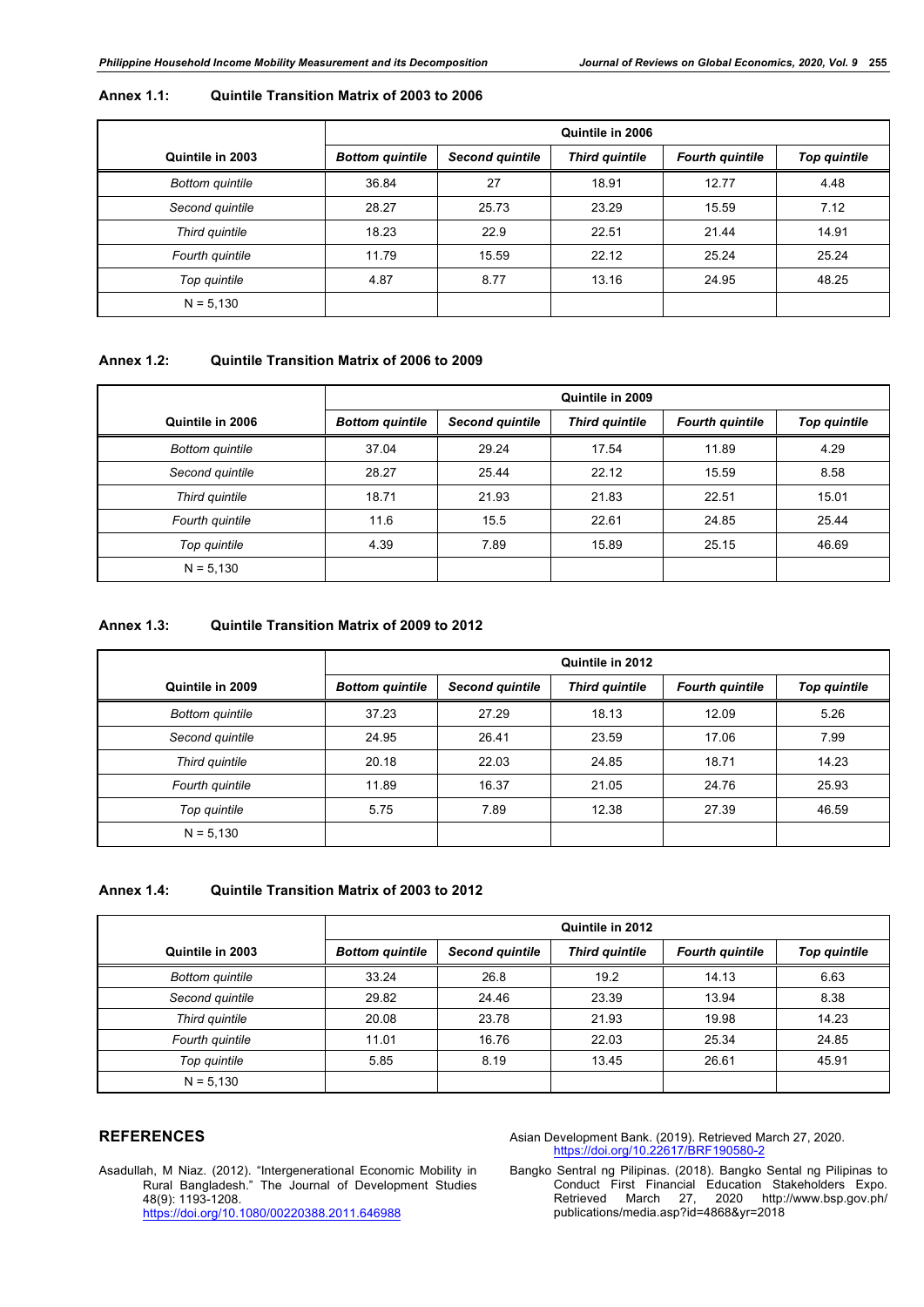## **Annex 1.1: Quintile Transition Matrix of 2003 to 2006**

|                        | Quintile in 2006       |                        |                       |                        |                     |
|------------------------|------------------------|------------------------|-----------------------|------------------------|---------------------|
| Quintile in 2003       | <b>Bottom quintile</b> | <b>Second quintile</b> | <b>Third quintile</b> | <b>Fourth quintile</b> | <b>Top quintile</b> |
| <b>Bottom quintile</b> | 36.84                  | 27                     | 18.91                 | 12.77                  | 4.48                |
| Second quintile        | 28.27                  | 25.73                  | 23.29                 | 15.59                  | 7.12                |
| Third quintile         | 18.23                  | 22.9                   | 22.51                 | 21.44                  | 14.91               |
| Fourth quintile        | 11.79                  | 15.59                  | 22.12                 | 25.24                  | 25.24               |
| Top quintile           | 4.87                   | 8.77                   | 13.16                 | 24.95                  | 48.25               |
| $N = 5,130$            |                        |                        |                       |                        |                     |

#### **Annex 1.2: Quintile Transition Matrix of 2006 to 2009**

|                        | Quintile in 2009       |                        |                       |                        |                     |
|------------------------|------------------------|------------------------|-----------------------|------------------------|---------------------|
| Quintile in 2006       | <b>Bottom quintile</b> | <b>Second quintile</b> | <b>Third quintile</b> | <b>Fourth quintile</b> | <b>Top quintile</b> |
| <b>Bottom quintile</b> | 37.04                  | 29.24                  | 17.54                 | 11.89                  | 4.29                |
| Second quintile        | 28.27                  | 25.44                  | 22.12                 | 15.59                  | 8.58                |
| Third quintile         | 18.71                  | 21.93                  | 21.83                 | 22.51                  | 15.01               |
| Fourth quintile        | 11.6                   | 15.5                   | 22.61                 | 24.85                  | 25.44               |
| Top quintile           | 4.39                   | 7.89                   | 15.89                 | 25.15                  | 46.69               |
| $N = 5,130$            |                        |                        |                       |                        |                     |

## **Annex 1.3: Quintile Transition Matrix of 2009 to 2012**

|                        | Quintile in 2012       |                 |                       |                        |                     |
|------------------------|------------------------|-----------------|-----------------------|------------------------|---------------------|
| Quintile in 2009       | <b>Bottom quintile</b> | Second quintile | <b>Third quintile</b> | <b>Fourth quintile</b> | <b>Top quintile</b> |
| <b>Bottom quintile</b> | 37.23                  | 27.29           | 18.13                 | 12.09                  | 5.26                |
| Second quintile        | 24.95                  | 26.41           | 23.59                 | 17.06                  | 7.99                |
| Third quintile         | 20.18                  | 22.03           | 24.85                 | 18.71                  | 14.23               |
| Fourth quintile        | 11.89                  | 16.37           | 21.05                 | 24.76                  | 25.93               |
| Top quintile           | 5.75                   | 7.89            | 12.38                 | 27.39                  | 46.59               |
| $N = 5,130$            |                        |                 |                       |                        |                     |

## **Annex 1.4: Quintile Transition Matrix of 2003 to 2012**

|                        | Quintile in 2012       |                 |                       |                        |                     |
|------------------------|------------------------|-----------------|-----------------------|------------------------|---------------------|
| Quintile in 2003       | <b>Bottom quintile</b> | Second quintile | <b>Third quintile</b> | <b>Fourth quintile</b> | <b>Top quintile</b> |
| <b>Bottom</b> quintile | 33.24                  | 26.8            | 19.2                  | 14.13                  | 6.63                |
| Second quintile        | 29.82                  | 24.46           | 23.39                 | 13.94                  | 8.38                |
| Third quintile         | 20.08                  | 23.78           | 21.93                 | 19.98                  | 14.23               |
| Fourth quintile        | 11.01                  | 16.76           | 22.03                 | 25.34                  | 24.85               |
| Top quintile           | 5.85                   | 8.19            | 13.45                 | 26.61                  | 45.91               |
| $N = 5,130$            |                        |                 |                       |                        |                     |

#### **REFERENCES**

Asadullah, M Niaz. (2012). "Intergenerational Economic Mobility in Rural Bangladesh." The Journal of Development Studies 48(9): 1193-1208. https://doi.org/10.1080/00220388.2011.646988

Asian Development Bank. (2019). Retrieved March 27, 2020. https://doi.org/10.22617/BRF190580-2

Bangko Sentral ng Pilipinas. (2018). Bangko Sental ng Pilipinas to Conduct First Financial Education Stakeholders Expo. Retrieved March 27, 2020 http://www.bsp.gov.ph/ publications/media.asp?id=4868&yr=2018